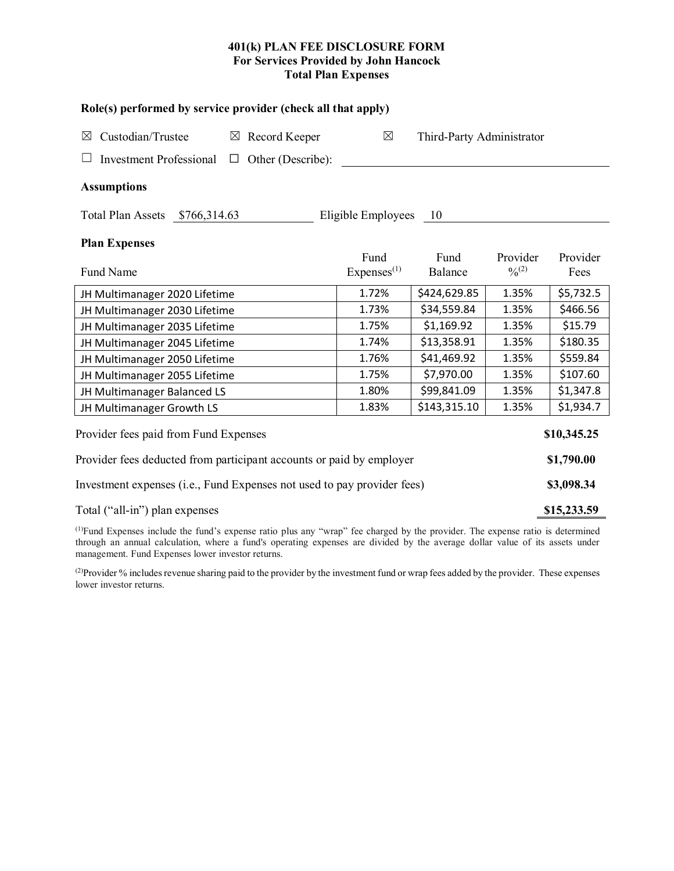# **401(k) PLAN FEE DISCLOSURE FORM For Services Provided by John Hancock Total Plan Expenses**

| Role(s) performed by service provider (check all that apply)            |                                |                           |                         |                  |  |  |  |  |
|-------------------------------------------------------------------------|--------------------------------|---------------------------|-------------------------|------------------|--|--|--|--|
| Custodian/Trustee<br>$\boxtimes$ Record Keeper<br>$\boxtimes$           | $\boxtimes$                    | Third-Party Administrator |                         |                  |  |  |  |  |
| <b>Investment Professional</b><br>Other (Describe):<br>$\Box$           |                                |                           |                         |                  |  |  |  |  |
| <b>Assumptions</b>                                                      |                                |                           |                         |                  |  |  |  |  |
| Total Plan Assets \$766,314.63                                          | Eligible Employees             | - 10                      |                         |                  |  |  |  |  |
| <b>Plan Expenses</b>                                                    |                                |                           |                         |                  |  |  |  |  |
| Fund Name                                                               | Fund<br>Express <sup>(1)</sup> | Fund<br>Balance           | Provider<br>$0/0^{(2)}$ | Provider<br>Fees |  |  |  |  |
| JH Multimanager 2020 Lifetime                                           | 1.72%                          | \$424,629.85              | 1.35%                   | \$5,732.5        |  |  |  |  |
| JH Multimanager 2030 Lifetime                                           | 1.73%                          | \$34,559.84               | 1.35%                   | \$466.56         |  |  |  |  |
| JH Multimanager 2035 Lifetime                                           | 1.75%                          | \$1,169.92                | 1.35%                   | \$15.79          |  |  |  |  |
| JH Multimanager 2045 Lifetime                                           | 1.74%                          | \$13,358.91               | 1.35%                   | \$180.35         |  |  |  |  |
| JH Multimanager 2050 Lifetime                                           | 1.76%                          | \$41,469.92               | 1.35%                   | \$559.84         |  |  |  |  |
| JH Multimanager 2055 Lifetime                                           | 1.75%                          | \$7,970.00                | 1.35%                   | \$107.60         |  |  |  |  |
| JH Multimanager Balanced LS                                             | 1.80%                          | \$99,841.09               | 1.35%                   | \$1,347.8        |  |  |  |  |
| JH Multimanager Growth LS                                               | 1.83%                          | \$143,315.10              | 1.35%                   | \$1,934.7        |  |  |  |  |
| Provider fees paid from Fund Expenses<br>\$10,345.25                    |                                |                           |                         |                  |  |  |  |  |
| Provider fees deducted from participant accounts or paid by employer    |                                |                           |                         |                  |  |  |  |  |
| Investment expenses (i.e., Fund Expenses not used to pay provider fees) |                                |                           |                         |                  |  |  |  |  |
| Total ("all-in") plan expenses                                          |                                |                           |                         |                  |  |  |  |  |

(1) Fund Expenses include the fund's expense ratio plus any "wrap" fee charged by the provider. The expense ratio is determined through an annual calculation, where a fund's operating expenses are divided by the average dollar value of its assets under management. Fund Expenses lower investor returns.

(2) Provider % includes revenue sharing paid to the provider by the investment fund or wrap fees added by the provider. These expenses lower investor returns.